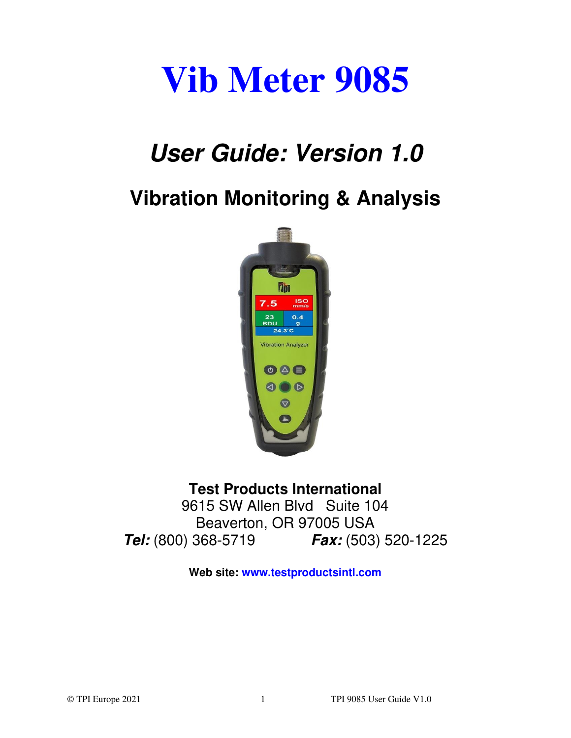# **Vib Meter 9085**

# *User Guide: Version 1.0*

# **Vibration Monitoring & Analysis**



### **Test Products International**

9615 SW Allen Blvd Suite 104 Beaverton, OR 97005 USA *Tel:* (800) 368-5719 *Fax:* (503) 520-1225

**Web site: www.testproductsintl.com**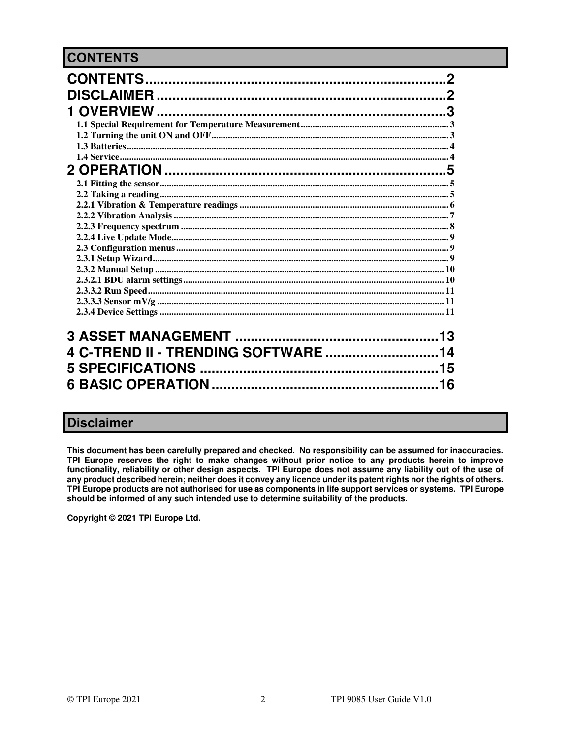#### <span id="page-1-0"></span>**CONTENTS**

|                                  | 2 |
|----------------------------------|---|
|                                  |   |
|                                  |   |
|                                  |   |
|                                  |   |
|                                  |   |
|                                  |   |
|                                  |   |
|                                  |   |
|                                  |   |
|                                  |   |
|                                  |   |
|                                  |   |
|                                  |   |
|                                  |   |
|                                  |   |
|                                  |   |
|                                  |   |
|                                  |   |
|                                  |   |
|                                  |   |
|                                  |   |
| 4 C-TREND II - TRENDING SOFTWARE |   |
| 15                               |   |
|                                  |   |
|                                  |   |

#### <span id="page-1-1"></span>**Disclaimer**

This document has been carefully prepared and checked. No responsibility can be assumed for inaccuracies. TPI Europe reserves the right to make changes without prior notice to any products herein to improve functionality, reliability or other design aspects. TPI Europe does not assume any liability out of the use of any product described herein; neither does it convey any licence under its patent rights nor the rights of others. TPI Europe products are not authorised for use as components in life support services or systems. TPI Europe should be informed of any such intended use to determine suitability of the products.

Copyright © 2021 TPI Europe Ltd.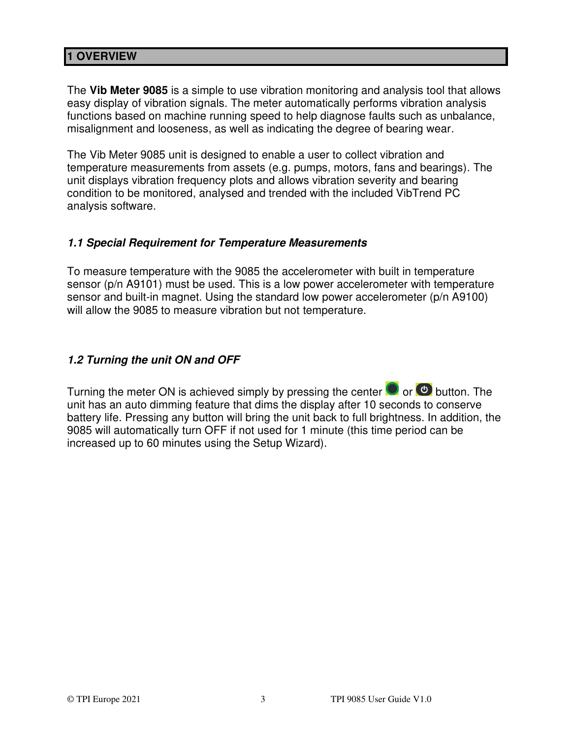#### <span id="page-2-0"></span>**1 OVERVIEW**

The **Vib Meter 9085** is a simple to use vibration monitoring and analysis tool that allows easy display of vibration signals. The meter automatically performs vibration analysis functions based on machine running speed to help diagnose faults such as unbalance, misalignment and looseness, as well as indicating the degree of bearing wear.

The Vib Meter 9085 unit is designed to enable a user to collect vibration and temperature measurements from assets (e.g. pumps, motors, fans and bearings). The unit displays vibration frequency plots and allows vibration severity and bearing condition to be monitored, analysed and trended with the included VibTrend PC analysis software.

#### <span id="page-2-1"></span>*1.1 Special Requirement for Temperature Measurements*

To measure temperature with the 9085 the accelerometer with built in temperature sensor (p/n A9101) must be used. This is a low power accelerometer with temperature sensor and built-in magnet. Using the standard low power accelerometer (p/n A9100) will allow the 9085 to measure vibration but not temperature.

#### <span id="page-2-2"></span>*1.2 Turning the unit ON and OFF*

Turning the meter ON is achieved simply by pressing the center  $\bigcirc$  or  $\bigcirc$  button. The unit has an auto dimming feature that dims the display after 10 seconds to conserve battery life. Pressing any button will bring the unit back to full brightness. In addition, the 9085 will automatically turn OFF if not used for 1 minute (this time period can be increased up to 60 minutes using the Setup Wizard).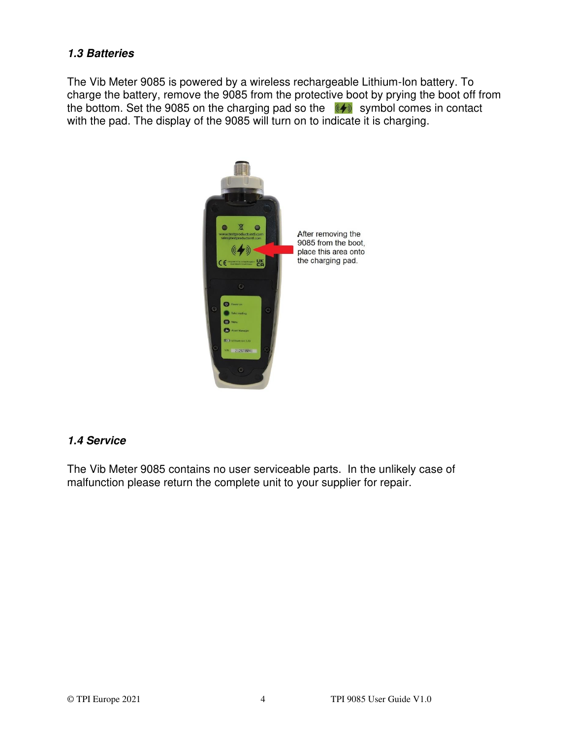#### <span id="page-3-0"></span>*1.3 Batteries*

The Vib Meter 9085 is powered by a wireless rechargeable Lithium-Ion battery. To charge the battery, remove the 9085 from the protective boot by prying the boot off from the bottom. Set the 9085 on the charging pad so the  $(*)$  symbol comes in contact with the pad. The display of the 9085 will turn on to indicate it is charging.



#### <span id="page-3-1"></span>*1.4 Service*

The Vib Meter 9085 contains no user serviceable parts. In the unlikely case of malfunction please return the complete unit to your supplier for repair.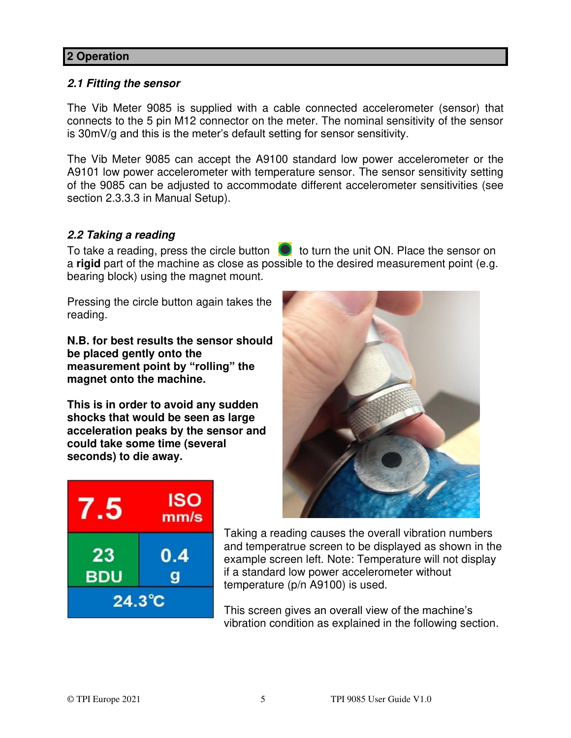#### <span id="page-4-0"></span>**2 Operation**

#### <span id="page-4-1"></span>*2.1 Fitting the sensor*

The Vib Meter 9085 is supplied with a cable connected accelerometer (sensor) that connects to the 5 pin M12 connector on the meter. The nominal sensitivity of the sensor is 30mV/g and this is the meter's default setting for sensor sensitivity.

The Vib Meter 9085 can accept the A9100 standard low power accelerometer or the A9101 low power accelerometer with temperature sensor. The sensor sensitivity setting of the 9085 can be adjusted to accommodate different accelerometer sensitivities (see section 2.3.3.3 in Manual Setup).

#### <span id="page-4-2"></span>*2.2 Taking a reading*

To take a reading, press the circle button  $\bullet$  to turn the unit ON. Place the sensor on a **rigid** part of the machine as close as possible to the desired measurement point (e.g. bearing block) using the magnet mount.

Pressing the circle button again takes the reading.

**N.B. for best results the sensor should be placed gently onto the measurement point by "rolling" the magnet onto the machine.** 

**This is in order to avoid any sudden shocks that would be seen as large acceleration peaks by the sensor and could take some time (several seconds) to die away.** 

| $.5\,$           | <b>ISO</b><br>mm/s |
|------------------|--------------------|
| 23<br><b>BDU</b> | 0.4                |
| $24.3^{\circ}$ C |                    |



Taking a reading causes the overall vibration numbers and temperatrue screen to be displayed as shown in the example screen left. Note: Temperature will not display if a standard low power accelerometer without temperature (p/n A9100) is used.

This screen gives an overall view of the machine's vibration condition as explained in the following section.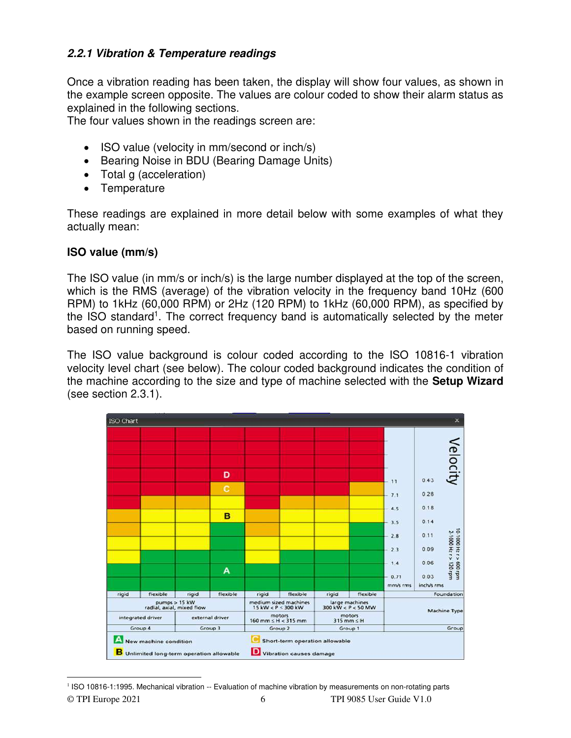#### <span id="page-5-0"></span>*2.2.1 Vibration & Temperature readings*

Once a vibration reading has been taken, the display will show four values, as shown in the example screen opposite. The values are colour coded to show their alarm status as explained in the following sections.

The four values shown in the readings screen are:

- ISO value (velocity in mm/second or inch/s)
- Bearing Noise in BDU (Bearing Damage Units)
- Total g (acceleration)
- Temperature

These readings are explained in more detail below with some examples of what they actually mean:

#### **ISO value (mm/s)**

The ISO value (in mm/s or inch/s) is the large number displayed at the top of the screen, which is the RMS (average) of the vibration velocity in the frequency band 10Hz (600 RPM) to 1kHz (60,000 RPM) or 2Hz (120 RPM) to 1kHz (60,000 RPM), as specified by the ISO standard<sup>1</sup>. The correct frequency band is automatically selected by the meter based on running speed.

The ISO value background is colour coded according to the ISO 10816-1 vibration velocity level chart (see below). The colour coded background indicates the condition of the machine according to the size and type of machine selected with the **Setup Wizard** (see section 2.3.1).

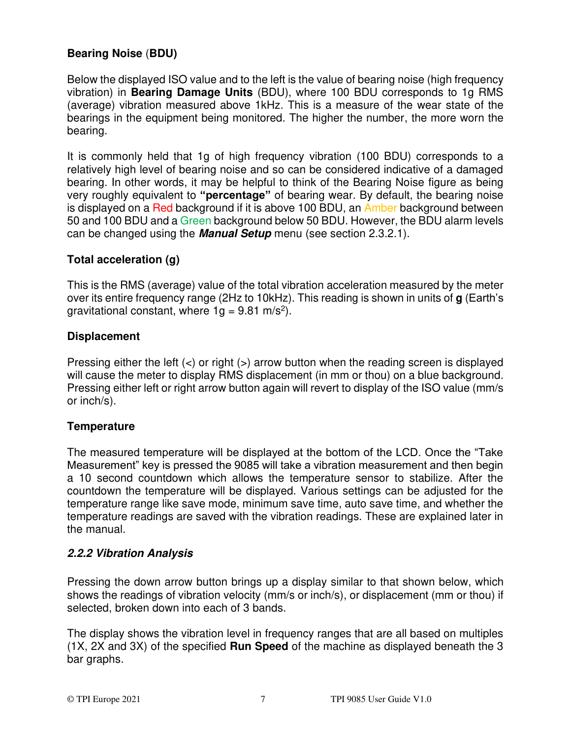#### **Bearing Noise** (**BDU)**

Below the displayed ISO value and to the left is the value of bearing noise (high frequency vibration) in **Bearing Damage Units** (BDU), where 100 BDU corresponds to 1g RMS (average) vibration measured above 1kHz. This is a measure of the wear state of the bearings in the equipment being monitored. The higher the number, the more worn the bearing.

It is commonly held that 1g of high frequency vibration (100 BDU) corresponds to a relatively high level of bearing noise and so can be considered indicative of a damaged bearing. In other words, it may be helpful to think of the Bearing Noise figure as being very roughly equivalent to **"percentage"** of bearing wear. By default, the bearing noise is displayed on a Red background if it is above 100 BDU, an Amber background between 50 and 100 BDU and a Green background below 50 BDU. However, the BDU alarm levels can be changed using the *Manual Setup* menu (see section 2.3.2.1).

#### **Total acceleration (g)**

This is the RMS (average) value of the total vibration acceleration measured by the meter over its entire frequency range (2Hz to 10kHz). This reading is shown in units of **g** (Earth's gravitational constant, where  $1g = 9.81$  m/s<sup>2</sup>).

#### **Displacement**

Pressing either the left  $(\le)$  or right  $(\ge)$  arrow button when the reading screen is displayed will cause the meter to display RMS displacement (in mm or thou) on a blue background. Pressing either left or right arrow button again will revert to display of the ISO value (mm/s or inch/s).

#### **Temperature**

The measured temperature will be displayed at the bottom of the LCD. Once the "Take Measurement" key is pressed the 9085 will take a vibration measurement and then begin a 10 second countdown which allows the temperature sensor to stabilize. After the countdown the temperature will be displayed. Various settings can be adjusted for the temperature range like save mode, minimum save time, auto save time, and whether the temperature readings are saved with the vibration readings. These are explained later in the manual.

#### <span id="page-6-0"></span>*2.2.2 Vibration Analysis*

Pressing the down arrow button brings up a display similar to that shown below, which shows the readings of vibration velocity (mm/s or inch/s), or displacement (mm or thou) if selected, broken down into each of 3 bands.

The display shows the vibration level in frequency ranges that are all based on multiples (1X, 2X and 3X) of the specified **Run Speed** of the machine as displayed beneath the 3 bar graphs.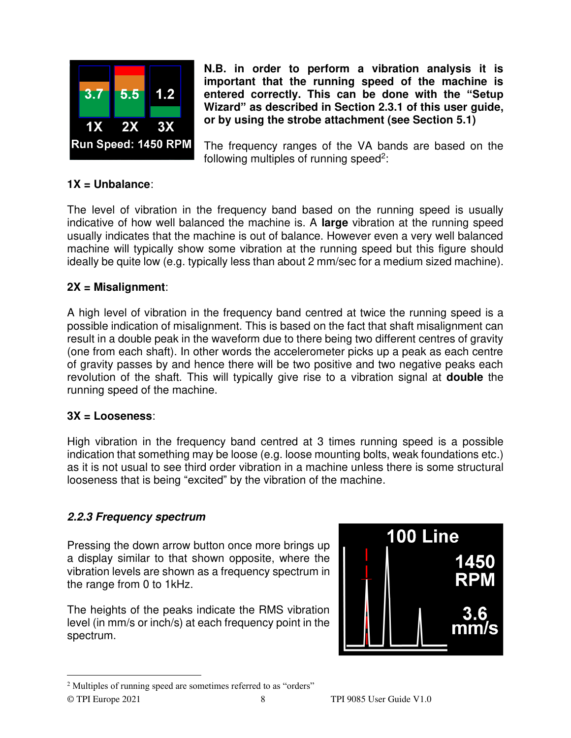

**N.B. in order to perform a vibration analysis it is important that the running speed of the machine is entered correctly. This can be done with the "Setup Wizard" as described in Section 2.3.1 of this user guide, or by using the strobe attachment (see Section 5.1)** 

The frequency ranges of the VA bands are based on the following multiples of running speed<sup>2</sup>:

#### **1X = Unbalance**:

The level of vibration in the frequency band based on the running speed is usually indicative of how well balanced the machine is. A **large** vibration at the running speed usually indicates that the machine is out of balance. However even a very well balanced machine will typically show some vibration at the running speed but this figure should ideally be quite low (e.g. typically less than about 2 mm/sec for a medium sized machine).

#### **2X = Misalignment**:

A high level of vibration in the frequency band centred at twice the running speed is a possible indication of misalignment. This is based on the fact that shaft misalignment can result in a double peak in the waveform due to there being two different centres of gravity (one from each shaft). In other words the accelerometer picks up a peak as each centre of gravity passes by and hence there will be two positive and two negative peaks each revolution of the shaft. This will typically give rise to a vibration signal at **double** the running speed of the machine.

#### **3X = Looseness**:

High vibration in the frequency band centred at 3 times running speed is a possible indication that something may be loose (e.g. loose mounting bolts, weak foundations etc.) as it is not usual to see third order vibration in a machine unless there is some structural looseness that is being "excited" by the vibration of the machine.

#### <span id="page-7-0"></span>*2.2.3 Frequency spectrum*

Pressing the down arrow button once more brings up a display similar to that shown opposite, where the vibration levels are shown as a frequency spectrum in the range from 0 to 1kHz.

The heights of the peaks indicate the RMS vibration level (in mm/s or inch/s) at each frequency point in the spectrum.



<sup>2</sup> Multiples of running speed are sometimes referred to as "orders"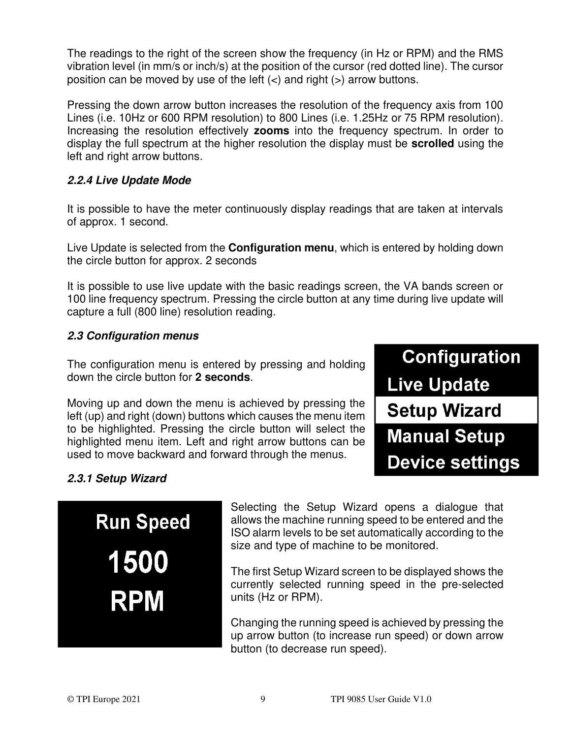The readings to the right of the screen show the frequency (in Hz or RPM) and the RMS vibration level (in mm/s or inch/s) at the position of the cursor (red dotted line). The cursor position can be moved by use of the left  $($  and right  $($  >  $)$  arrow buttons.

Pressing the down arrow button increases the resolution of the frequency axis from 100 Lines (i.e. 10Hz or 600 RPM resolution) to 800 Lines (i.e. 1.25Hz or 75 RPM resolution). Increasing the resolution effectively **zooms** into the frequency spectrum. In order to display the full spectrum at the higher resolution the display must be **scrolled** using the left and right arrow buttons.

#### <span id="page-8-0"></span>*2.2.4 Live Update Mode*

It is possible to have the meter continuously display readings that are taken at intervals of approx. 1 second.

Live Update is selected from the **Configuration menu**, which is entered by holding down the circle button for approx. 2 seconds

It is possible to use live update with the basic readings screen, the VA bands screen or 100 line frequency spectrum. Pressing the circle button at any time during live update will capture a full (800 line) resolution reading.

#### <span id="page-8-1"></span>*2.3 Configuration menus*

The configuration menu is entered by pressing and holding down the circle button for **2 seconds**.

Moving up and down the menu is achieved by pressing the left (up) and right (down) buttons which causes the menu item to be highlighted. Pressing the circle button will select the highlighted menu item. Left and right arrow buttons can be used to move backward and forward through the menus.



#### <span id="page-8-2"></span>*2.3.1 Setup Wizard*

**Run Speed** 1500 **RPM** 

Selecting the Setup Wizard opens a dialogue that allows the machine running speed to be entered and the ISO alarm levels to be set automatically according to the size and type of machine to be monitored.

The first Setup Wizard screen to be displayed shows the currently selected running speed in the pre-selected units (Hz or RPM).

Changing the running speed is achieved by pressing the up arrow button (to increase run speed) or down arrow button (to decrease run speed).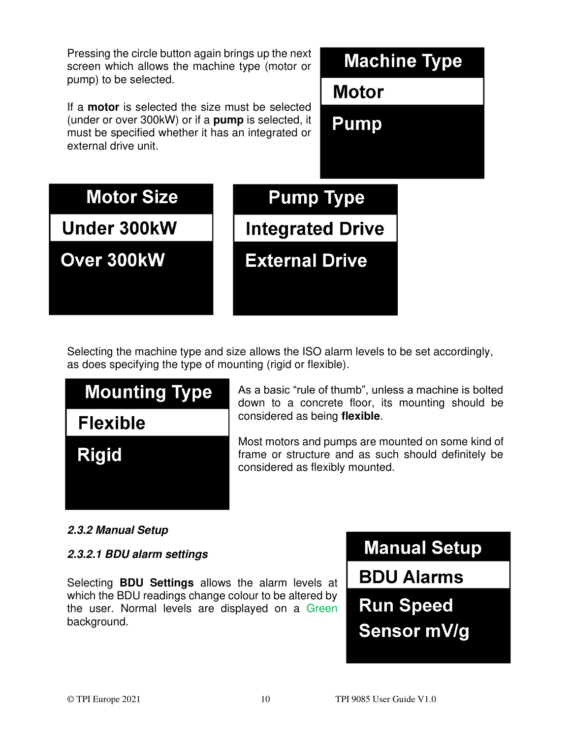Pressing the circle button again brings up the next screen which allows the machine type (motor or pump) to be selected.

If a **motor** is selected the size must be selected (under or over 300kW) or if a **pump** is selected, it must be specified whether it has an integrated or external drive unit.

# **Machine Type**

**Motor** 

Pump



Selecting the machine type and size allows the ISO alarm levels to be set accordingly, as does specifying the type of mounting (rigid or flexible).



As a basic "rule of thumb", unless a machine is bolted down to a concrete floor, its mounting should be considered as being **flexible**.

<span id="page-9-0"></span>Most motors and pumps are mounted on some kind of frame or structure and as such should definitely be considered as flexibly mounted.

#### *2.3.2 Manual Setup*

#### <span id="page-9-1"></span>*2.3.2.1 BDU alarm settings*

Selecting **BDU Settings** allows the alarm levels at which the BDU readings change colour to be altered by the user. Normal levels are displayed on a Green background.

**Manual Setup** 

**BDU Alarms** 

**Run Speed Sensor mV/g**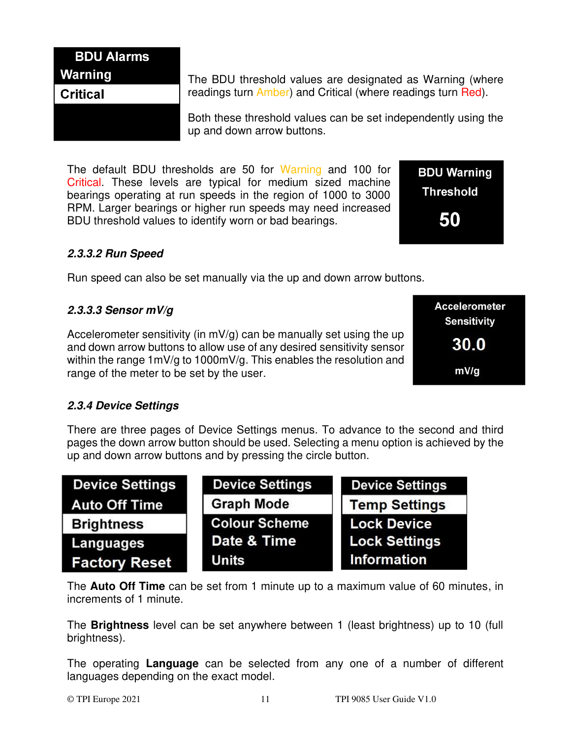### **BDU Alarms Warning**

#### **Critical**

The BDU threshold values are designated as Warning (where readings turn Amber) and Critical (where readings turn Red).

Both these threshold values can be set independently using the up and down arrow buttons.

The default BDU thresholds are 50 for Warning and 100 for Critical. These levels are typical for medium sized machine bearings operating at run speeds in the region of 1000 to 3000 RPM. Larger bearings or higher run speeds may need increased BDU threshold values to identify worn or bad bearings.

#### <span id="page-10-0"></span>*2.3.3.2 Run Speed*

Run speed can also be set manually via the up and down arrow buttons.

#### <span id="page-10-1"></span>*2.3.3.3 Sensor mV/g*

Accelerometer sensitivity (in  $mV/q$ ) can be manually set using the up and down arrow buttons to allow use of any desired sensitivity sensor within the range 1mV/g to 1000mV/g. This enables the resolution and range of the meter to be set by the user.

**Accelerometer Sensitivity** 30.0 mV/g

**BDU Warning** 

**Threshold** 

50

#### <span id="page-10-2"></span>*2.3.4 Device Settings*

There are three pages of Device Settings menus. To advance to the second and third pages the down arrow button should be used. Selecting a menu option is achieved by the up and down arrow buttons and by pressing the circle button.

| <b>Device Settings</b> | <b>Device Settings</b> | <b>Device Settings</b> |
|------------------------|------------------------|------------------------|
| <b>Auto Off Time</b>   | <b>Graph Mode</b>      | <b>Temp Settings</b>   |
| <b>Brightness</b>      | <b>Colour Scheme</b>   | <b>Lock Device</b>     |
| Languages              | Date & Time            | <b>Lock Settings</b>   |
| <b>Factory Reset</b>   | <b>Units</b>           | <b>Information</b>     |

The **Auto Off Time** can be set from 1 minute up to a maximum value of 60 minutes, in increments of 1 minute.

The **Brightness** level can be set anywhere between 1 (least brightness) up to 10 (full brightness).

The operating **Language** can be selected from any one of a number of different languages depending on the exact model.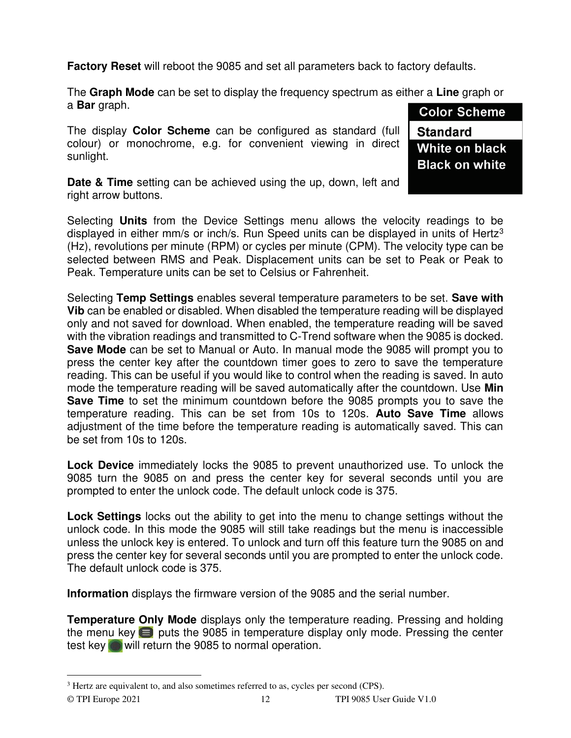**Factory Reset** will reboot the 9085 and set all parameters back to factory defaults.

The **Graph Mode** can be set to display the frequency spectrum as either a **Line** graph or a **Bar** graph. **Color Scheme** 

The display **Color Scheme** can be configured as standard (full colour) or monochrome, e.g. for convenient viewing in direct sunlight.

**Standard** White on black **Black on white** 

**Date & Time** setting can be achieved using the up, down, left and right arrow buttons.

Selecting **Units** from the Device Settings menu allows the velocity readings to be displayed in either  $mm/s$  or inch/s. Run Speed units can be displayed in units of Hertz<sup>3</sup> (Hz), revolutions per minute (RPM) or cycles per minute (CPM). The velocity type can be selected between RMS and Peak. Displacement units can be set to Peak or Peak to Peak. Temperature units can be set to Celsius or Fahrenheit.

Selecting **Temp Settings** enables several temperature parameters to be set. **Save with Vib** can be enabled or disabled. When disabled the temperature reading will be displayed only and not saved for download. When enabled, the temperature reading will be saved with the vibration readings and transmitted to C-Trend software when the 9085 is docked. **Save Mode** can be set to Manual or Auto. In manual mode the 9085 will prompt you to press the center key after the countdown timer goes to zero to save the temperature reading. This can be useful if you would like to control when the reading is saved. In auto mode the temperature reading will be saved automatically after the countdown. Use **Min Save Time** to set the minimum countdown before the 9085 prompts you to save the temperature reading. This can be set from 10s to 120s. **Auto Save Time** allows adjustment of the time before the temperature reading is automatically saved. This can be set from 10s to 120s.

**Lock Device** immediately locks the 9085 to prevent unauthorized use. To unlock the 9085 turn the 9085 on and press the center key for several seconds until you are prompted to enter the unlock code. The default unlock code is 375.

**Lock Settings** locks out the ability to get into the menu to change settings without the unlock code. In this mode the 9085 will still take readings but the menu is inaccessible unless the unlock key is entered. To unlock and turn off this feature turn the 9085 on and press the center key for several seconds until you are prompted to enter the unlock code. The default unlock code is 375.

**Information** displays the firmware version of the 9085 and the serial number.

**Temperature Only Mode** displays only the temperature reading. Pressing and holding the menu key  $\blacksquare$  puts the 9085 in temperature display only mode. Pressing the center test key will return the 9085 to normal operation.

<sup>&</sup>lt;sup>3</sup> Hertz are equivalent to, and also sometimes referred to as, cycles per second (CPS).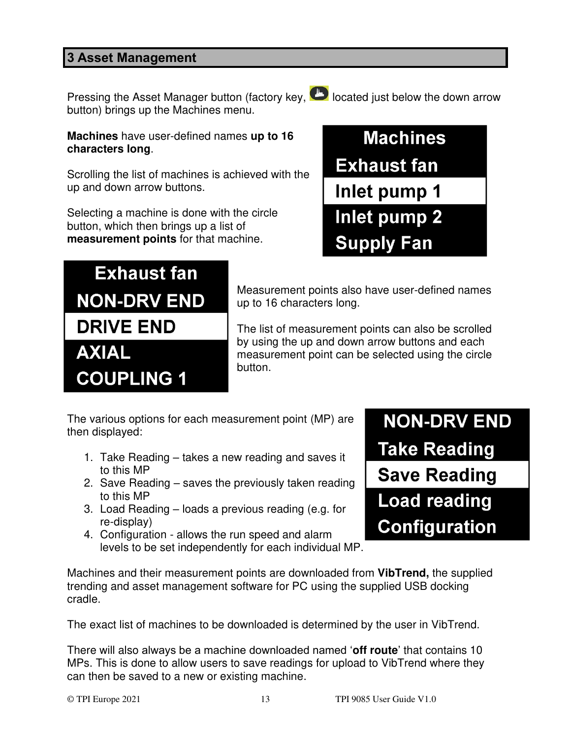#### <span id="page-12-0"></span>**3 Asset Management**

Pressing the Asset Manager button (factory key,  $\bullet$  located just below the down arrow button) brings up the Machines menu.



**Machines** have user-defined names **up to 16 characters long**.

Scrolling the list of machines is achieved with the up and down arrow buttons.

Selecting a machine is done with the circle button, which then brings up a list of **measurement points** for that machine.

**Exhaust fan** 

**NON-DRV END** 

**DRIVE END** 

**COUPLING 1** 

**AXIAL** 



Measurement points also have user-defined names up to 16 characters long.

The list of measurement points can also be scrolled by using the up and down arrow buttons and each measurement point can be selected using the circle button.

The various options for each measurement point (MP) are then displayed:

- 1. Take Reading takes a new reading and saves it to this MP
- 2. Save Reading saves the previously taken reading to this MP
- 3. Load Reading loads a previous reading (e.g. for re-display)
- 4. Configuration allows the run speed and alarm levels to be set independently for each individual MP.

**NON-DRV END Take Reading Save Reading Load reading Configuration** 

Machines and their measurement points are downloaded from **VibTrend,** the supplied trending and asset management software for PC using the supplied USB docking cradle.

The exact list of machines to be downloaded is determined by the user in VibTrend.

There will also always be a machine downloaded named '**off route**' that contains 10 MPs. This is done to allow users to save readings for upload to VibTrend where they can then be saved to a new or existing machine.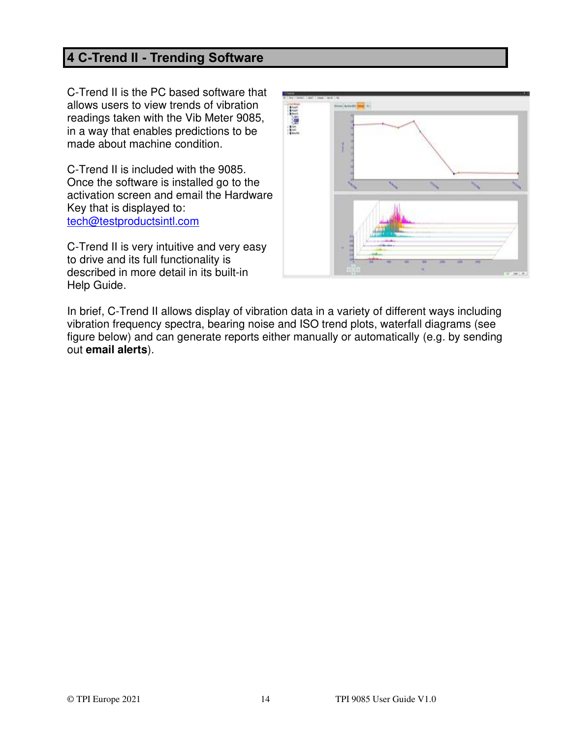### <span id="page-13-0"></span>**4 C-Trend II - Trending Software**

C-Trend II is the PC based software that allows users to view trends of vibration readings taken with the Vib Meter 9085, in a way that enables predictions to be made about machine condition.

C-Trend II is included with the 9085. Once the software is installed go to the activation screen and email the Hardware Key that is displayed to: [tech@testproductsintl.com](mailto:tech@testproductsintl.com)

C-Trend II is very intuitive and very easy to drive and its full functionality is described in more detail in its built-in Help Guide.



In brief, C-Trend II allows display of vibration data in a variety of different ways including vibration frequency spectra, bearing noise and ISO trend plots, waterfall diagrams (see figure below) and can generate reports either manually or automatically (e.g. by sending out **email alerts**).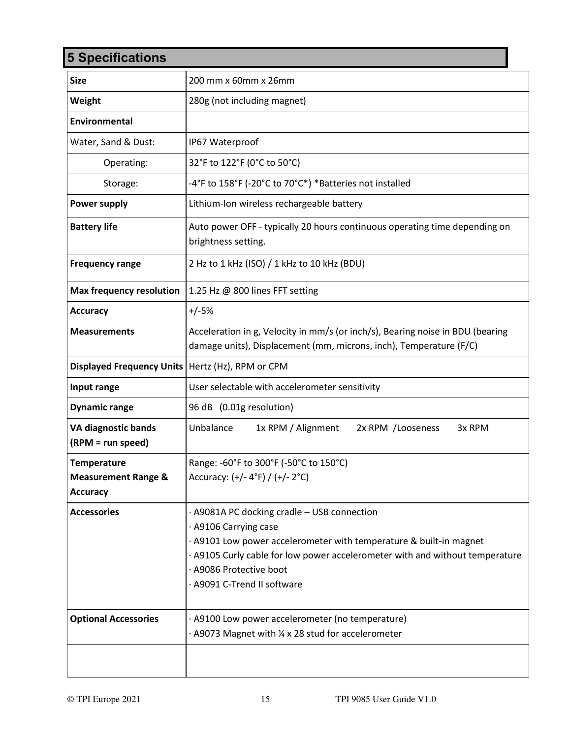## <span id="page-14-0"></span>**5 Specifications**

| <b>Size</b>                                          | 200 mm x 60mm x 26mm                                                                                                                                                                                                                                                                 |
|------------------------------------------------------|--------------------------------------------------------------------------------------------------------------------------------------------------------------------------------------------------------------------------------------------------------------------------------------|
| Weight                                               | 280g (not including magnet)                                                                                                                                                                                                                                                          |
| Environmental                                        |                                                                                                                                                                                                                                                                                      |
| Water, Sand & Dust:                                  | IP67 Waterproof                                                                                                                                                                                                                                                                      |
| Operating:                                           | 32°F to 122°F (0°C to 50°C)                                                                                                                                                                                                                                                          |
| Storage:                                             | -4°F to 158°F (-20°C to 70°C*) *Batteries not installed                                                                                                                                                                                                                              |
| <b>Power supply</b>                                  | Lithium-Ion wireless rechargeable battery                                                                                                                                                                                                                                            |
| <b>Battery life</b>                                  | Auto power OFF - typically 20 hours continuous operating time depending on<br>brightness setting.                                                                                                                                                                                    |
| <b>Frequency range</b>                               | 2 Hz to 1 kHz (ISO) / 1 kHz to 10 kHz (BDU)                                                                                                                                                                                                                                          |
| <b>Max frequency resolution</b>                      | 1.25 Hz @ 800 lines FFT setting                                                                                                                                                                                                                                                      |
| <b>Accuracy</b>                                      | $+/-5%$                                                                                                                                                                                                                                                                              |
| <b>Measurements</b>                                  | Acceleration in g, Velocity in mm/s (or inch/s), Bearing noise in BDU (bearing<br>damage units), Displacement (mm, microns, inch), Temperature (F/C)                                                                                                                                 |
| Displayed Frequency Units   Hertz (Hz), RPM or CPM   |                                                                                                                                                                                                                                                                                      |
| Input range                                          | User selectable with accelerometer sensitivity                                                                                                                                                                                                                                       |
| <b>Dynamic range</b>                                 | 96 dB (0.01g resolution)                                                                                                                                                                                                                                                             |
| VA diagnostic bands<br>(RPM = run speed)             | Unbalance<br>1x RPM / Alignment<br>2x RPM / Looseness<br>3x RPM                                                                                                                                                                                                                      |
| <b>Temperature</b><br><b>Measurement Range &amp;</b> | Range: -60°F to 300°F (-50°C to 150°C)<br>Accuracy: (+/- 4°F) / (+/- 2°C)                                                                                                                                                                                                            |
| <b>Accuracy</b>                                      |                                                                                                                                                                                                                                                                                      |
| <b>Accessories</b>                                   | · A9081A PC docking cradle - USB connection<br>· A9106 Carrying case<br>· A9101 Low power accelerometer with temperature & built-in magnet<br>· A9105 Curly cable for low power accelerometer with and without temperature<br>· A9086 Protective boot<br>· A9091 C-Trend II software |
| <b>Optional Accessories</b>                          | · A9100 Low power accelerometer (no temperature)<br>· A9073 Magnet with 1/4 x 28 stud for accelerometer                                                                                                                                                                              |
|                                                      |                                                                                                                                                                                                                                                                                      |